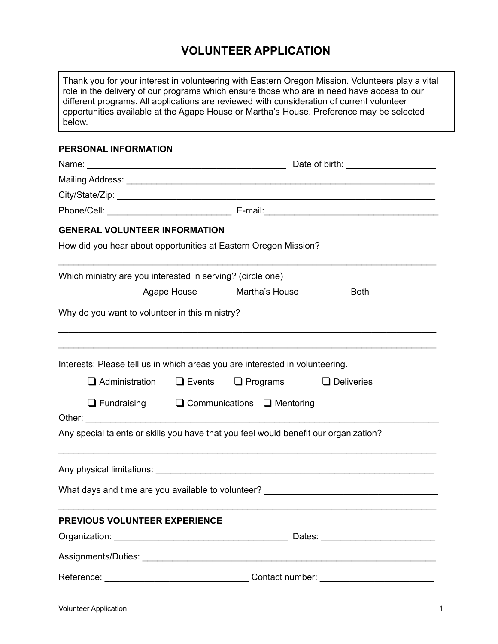## **VOLUNTEER APPLICATION**

| below.                                                                               | Thank you for your interest in volunteering with Eastern Oregon Mission. Volunteers play a vital<br>role in the delivery of our programs which ensure those who are in need have access to our<br>different programs. All applications are reviewed with consideration of current volunteer<br>opportunities available at the Agape House or Martha's House. Preference may be selected |
|--------------------------------------------------------------------------------------|-----------------------------------------------------------------------------------------------------------------------------------------------------------------------------------------------------------------------------------------------------------------------------------------------------------------------------------------------------------------------------------------|
| PERSONAL INFORMATION                                                                 |                                                                                                                                                                                                                                                                                                                                                                                         |
|                                                                                      |                                                                                                                                                                                                                                                                                                                                                                                         |
|                                                                                      |                                                                                                                                                                                                                                                                                                                                                                                         |
|                                                                                      |                                                                                                                                                                                                                                                                                                                                                                                         |
|                                                                                      |                                                                                                                                                                                                                                                                                                                                                                                         |
| <b>GENERAL VOLUNTEER INFORMATION</b>                                                 |                                                                                                                                                                                                                                                                                                                                                                                         |
| How did you hear about opportunities at Eastern Oregon Mission?                      |                                                                                                                                                                                                                                                                                                                                                                                         |
| Which ministry are you interested in serving? (circle one)                           |                                                                                                                                                                                                                                                                                                                                                                                         |
| Agape House                                                                          | Martha's House<br><b>Both</b>                                                                                                                                                                                                                                                                                                                                                           |
| Why do you want to volunteer in this ministry?                                       |                                                                                                                                                                                                                                                                                                                                                                                         |
| Interests: Please tell us in which areas you are interested in volunteering.         |                                                                                                                                                                                                                                                                                                                                                                                         |
| $\Box$ Administration<br>$\Box$ Events                                               | $\Box$ Programs<br>$\Box$ Deliveries                                                                                                                                                                                                                                                                                                                                                    |
| $\Box$ Communications $\Box$ Mentoring<br>$\Box$ Fundraising                         |                                                                                                                                                                                                                                                                                                                                                                                         |
| Any special talents or skills you have that you feel would benefit our organization? |                                                                                                                                                                                                                                                                                                                                                                                         |
|                                                                                      |                                                                                                                                                                                                                                                                                                                                                                                         |
|                                                                                      |                                                                                                                                                                                                                                                                                                                                                                                         |
| PREVIOUS VOLUNTEER EXPERIENCE                                                        |                                                                                                                                                                                                                                                                                                                                                                                         |
|                                                                                      |                                                                                                                                                                                                                                                                                                                                                                                         |
|                                                                                      |                                                                                                                                                                                                                                                                                                                                                                                         |
|                                                                                      |                                                                                                                                                                                                                                                                                                                                                                                         |